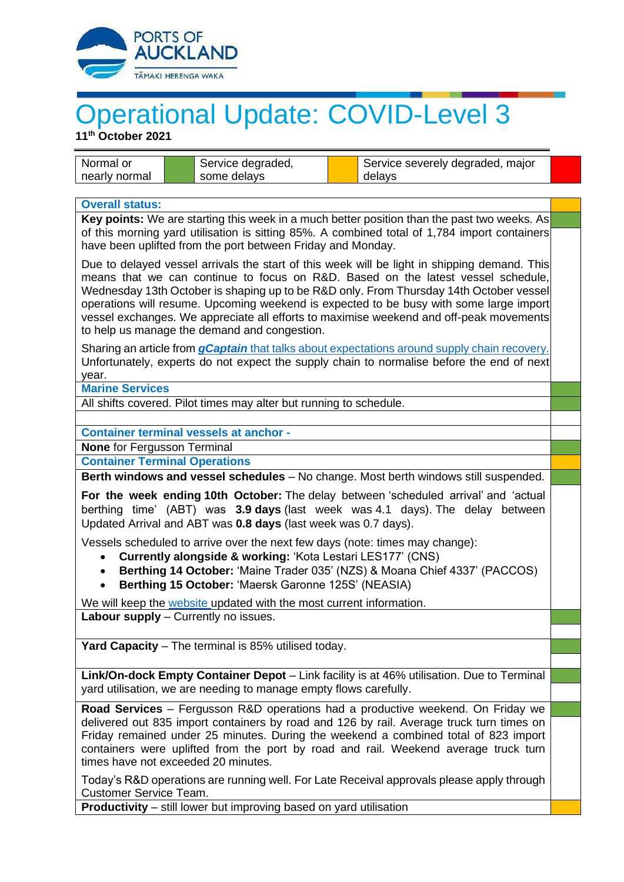

## Operational Update: COVID-Level 3

**11th October 2021**

| Normal or                                                                                                                                                                                                                                                                                                                                                                                                                                                                                                      |                                                                     | Service degraded, |  | Service severely degraded, major |  |
|----------------------------------------------------------------------------------------------------------------------------------------------------------------------------------------------------------------------------------------------------------------------------------------------------------------------------------------------------------------------------------------------------------------------------------------------------------------------------------------------------------------|---------------------------------------------------------------------|-------------------|--|----------------------------------|--|
| nearly normal                                                                                                                                                                                                                                                                                                                                                                                                                                                                                                  |                                                                     | some delays       |  | delays                           |  |
| <b>Overall status:</b>                                                                                                                                                                                                                                                                                                                                                                                                                                                                                         |                                                                     |                   |  |                                  |  |
| Key points: We are starting this week in a much better position than the past two weeks. As                                                                                                                                                                                                                                                                                                                                                                                                                    |                                                                     |                   |  |                                  |  |
| of this morning yard utilisation is sitting 85%. A combined total of 1,784 import containers<br>have been uplifted from the port between Friday and Monday.                                                                                                                                                                                                                                                                                                                                                    |                                                                     |                   |  |                                  |  |
| Due to delayed vessel arrivals the start of this week will be light in shipping demand. This<br>means that we can continue to focus on R&D. Based on the latest vessel schedule,<br>Wednesday 13th October is shaping up to be R&D only. From Thursday 14th October vessel<br>operations will resume. Upcoming weekend is expected to be busy with some large import<br>vessel exchanges. We appreciate all efforts to maximise weekend and off-peak movements<br>to help us manage the demand and congestion. |                                                                     |                   |  |                                  |  |
| Sharing an article from <i>gCaptain</i> that talks about expectations around supply chain recovery.<br>Unfortunately, experts do not expect the supply chain to normalise before the end of next<br>year.                                                                                                                                                                                                                                                                                                      |                                                                     |                   |  |                                  |  |
| <b>Marine Services</b>                                                                                                                                                                                                                                                                                                                                                                                                                                                                                         |                                                                     |                   |  |                                  |  |
| All shifts covered. Pilot times may alter but running to schedule.                                                                                                                                                                                                                                                                                                                                                                                                                                             |                                                                     |                   |  |                                  |  |
| <b>Container terminal vessels at anchor -</b>                                                                                                                                                                                                                                                                                                                                                                                                                                                                  |                                                                     |                   |  |                                  |  |
| None for Fergusson Terminal                                                                                                                                                                                                                                                                                                                                                                                                                                                                                    |                                                                     |                   |  |                                  |  |
| <b>Container Terminal Operations</b>                                                                                                                                                                                                                                                                                                                                                                                                                                                                           |                                                                     |                   |  |                                  |  |
| Berth windows and vessel schedules - No change. Most berth windows still suspended.                                                                                                                                                                                                                                                                                                                                                                                                                            |                                                                     |                   |  |                                  |  |
| For the week ending 10th October: The delay between 'scheduled arrival' and 'actual<br>berthing time' (ABT) was 3.9 days (last week was 4.1 days). The delay between<br>Updated Arrival and ABT was 0.8 days (last week was 0.7 days).                                                                                                                                                                                                                                                                         |                                                                     |                   |  |                                  |  |
| Vessels scheduled to arrive over the next few days (note: times may change):<br>Currently alongside & working: 'Kota Lestari LES177' (CNS)<br>$\bullet$<br>Berthing 14 October: 'Maine Trader 035' (NZS) & Moana Chief 4337' (PACCOS)<br>$\bullet$<br>Berthing 15 October: 'Maersk Garonne 125S' (NEASIA)<br>$\bullet$                                                                                                                                                                                         |                                                                     |                   |  |                                  |  |
|                                                                                                                                                                                                                                                                                                                                                                                                                                                                                                                | We will keep the website updated with the most current information. |                   |  |                                  |  |
| Labour supply - Currently no issues.                                                                                                                                                                                                                                                                                                                                                                                                                                                                           |                                                                     |                   |  |                                  |  |
| Yard Capacity - The terminal is 85% utilised today.                                                                                                                                                                                                                                                                                                                                                                                                                                                            |                                                                     |                   |  |                                  |  |
|                                                                                                                                                                                                                                                                                                                                                                                                                                                                                                                |                                                                     |                   |  |                                  |  |
| Link/On-dock Empty Container Depot - Link facility is at 46% utilisation. Due to Terminal<br>yard utilisation, we are needing to manage empty flows carefully.                                                                                                                                                                                                                                                                                                                                                 |                                                                     |                   |  |                                  |  |
| Road Services - Fergusson R&D operations had a productive weekend. On Friday we                                                                                                                                                                                                                                                                                                                                                                                                                                |                                                                     |                   |  |                                  |  |
| delivered out 835 import containers by road and 126 by rail. Average truck turn times on<br>Friday remained under 25 minutes. During the weekend a combined total of 823 import<br>containers were uplifted from the port by road and rail. Weekend average truck turn<br>times have not exceeded 20 minutes.                                                                                                                                                                                                  |                                                                     |                   |  |                                  |  |
| Today's R&D operations are running well. For Late Receival approvals please apply through<br><b>Customer Service Team.</b>                                                                                                                                                                                                                                                                                                                                                                                     |                                                                     |                   |  |                                  |  |
| <b>Productivity</b> – still lower but improving based on yard utilisation                                                                                                                                                                                                                                                                                                                                                                                                                                      |                                                                     |                   |  |                                  |  |
|                                                                                                                                                                                                                                                                                                                                                                                                                                                                                                                |                                                                     |                   |  |                                  |  |